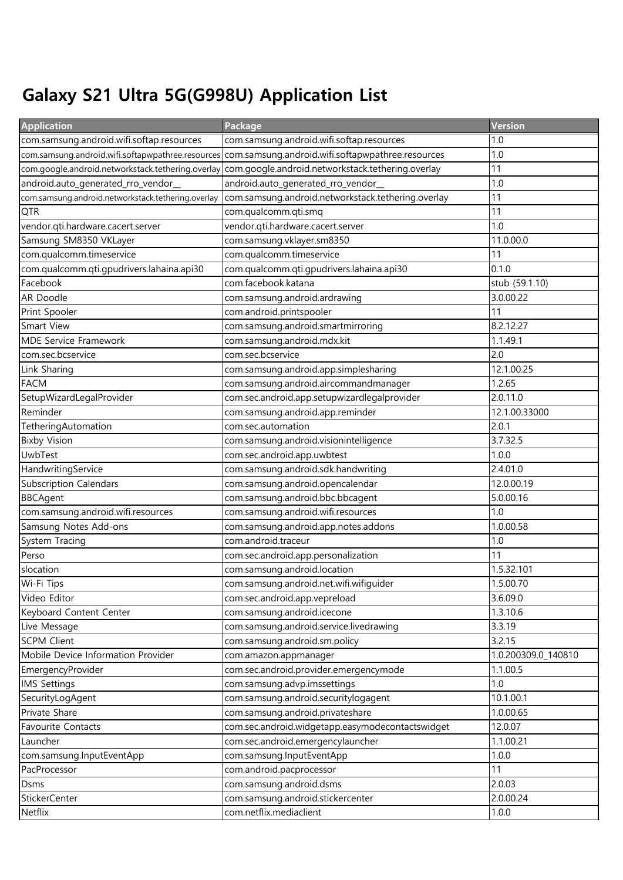## Galaxy S21 Ultra 5G(G998U) Application List

| <b>Application</b>                                 | Package                                            | Version             |
|----------------------------------------------------|----------------------------------------------------|---------------------|
| com.samsung.android.wifi.softap.resources          | com.samsung.android.wifi.softap.resources          | 1.0                 |
| com.samsung.android.wifi.softapwpathree.resources  | com.samsung.android.wifi.softapwpathree.resources  | 1.0                 |
| com.google.android.networkstack.tethering.overlay  | com.google.android.networkstack.tethering.overlay  | 11                  |
| android.auto_generated_rro_vendor_                 | android.auto_generated_rro_vendor_                 | 1.0                 |
| com.samsung.android.networkstack.tethering.overlay | com.samsung.android.networkstack.tethering.overlay | 11                  |
| QTR                                                | com.qualcomm.qti.smq                               | 11                  |
| vendor.qti.hardware.cacert.server                  | vendor.qti.hardware.cacert.server                  | 1.0                 |
| Samsung SM8350 VKLayer                             | com.samsung.vklayer.sm8350                         | 11.0.00.0           |
| com.qualcomm.timeservice                           | com.qualcomm.timeservice                           | 11                  |
| com.qualcomm.qti.gpudrivers.lahaina.api30          | com.qualcomm.qti.gpudrivers.lahaina.api30          | 0.1.0               |
| Facebook                                           | com.facebook.katana                                | stub (59.1.10)      |
| AR Doodle                                          | com.samsung.android.ardrawing                      | 3.0.00.22           |
| Print Spooler                                      | com.android.printspooler                           | 11                  |
| Smart View                                         | com.samsung.android.smartmirroring                 | 8.2.12.27           |
| <b>MDE Service Framework</b>                       | com.samsung.android.mdx.kit                        | 1.1.49.1            |
| com.sec.bcservice                                  | com.sec.bcservice                                  | 2.0                 |
| Link Sharing                                       | com.samsung.android.app.simplesharing              | 12.1.00.25          |
| <b>FACM</b>                                        | com.samsung.android.aircommandmanager              | 1.2.65              |
| SetupWizardLegalProvider                           | com.sec.android.app.setupwizardlegalprovider       | 2.0.11.0            |
| Reminder                                           | com.samsung.android.app.reminder                   | 12.1.00.33000       |
| TetheringAutomation                                | com.sec.automation                                 | 2.0.1               |
| <b>Bixby Vision</b>                                | com.samsung.android.visionintelligence             | 3.7.32.5            |
| UwbTest                                            | com.sec.android.app.uwbtest                        | 1.0.0               |
| HandwritingService                                 | com.samsung.android.sdk.handwriting                | 2.4.01.0            |
| <b>Subscription Calendars</b>                      | com.samsung.android.opencalendar                   | 12.0.00.19          |
| <b>BBCAgent</b>                                    | com.samsung.android.bbc.bbcagent                   | 5.0.00.16           |
| com.samsung.android.wifi.resources                 | com.samsung.android.wifi.resources                 | 1.0                 |
| Samsung Notes Add-ons                              | com.samsung.android.app.notes.addons               | 1.0.00.58           |
| System Tracing                                     | com.android.traceur                                | 1.0                 |
| Perso                                              | com.sec.android.app.personalization                | 11                  |
| slocation                                          | com.samsung.android.location                       | 1.5.32.101          |
| Wi-Fi Tips                                         | com.samsung.android.net.wifi.wifiguider            | 1.5.00.70           |
| Video Editor                                       | com.sec.android.app.vepreload                      | 3.6.09.0            |
| Keyboard Content Center                            | com.samsung.android.icecone                        | 1.3.10.6            |
| Live Message                                       | com.samsung.android.service.livedrawing            | 3.3.19              |
| <b>SCPM Client</b>                                 | com.samsung.android.sm.policy                      | 3.2.15              |
| Mobile Device Information Provider                 | com.amazon.appmanager                              | 1.0.200309.0 140810 |
| EmergencyProvider                                  | com.sec.android.provider.emergencymode             | 1.1.00.5            |
| <b>IMS Settings</b>                                | com.samsung.advp.imssettings                       | 1.0                 |
| SecurityLogAgent                                   | com.samsung.android.securitylogagent               | 10.1.00.1           |
| Private Share                                      | com.samsung.android.privateshare                   | 1.0.00.65           |
| Favourite Contacts                                 | com.sec.android.widgetapp.easymodecontactswidget   | 12.0.07             |
| Launcher                                           | com.sec.android.emergencylauncher                  | 1.1.00.21           |
| com.samsung.InputEventApp                          | com.samsung.InputEventApp                          | 1.0.0               |
| PacProcessor                                       | com.android.pacprocessor                           | 11                  |
| Dsms                                               | com.samsung.android.dsms                           | 2.0.03              |
| <b>StickerCenter</b>                               | com.samsung.android.stickercenter                  | 2.0.00.24           |
| Netflix                                            | com.netflix.mediaclient                            | 1.0.0               |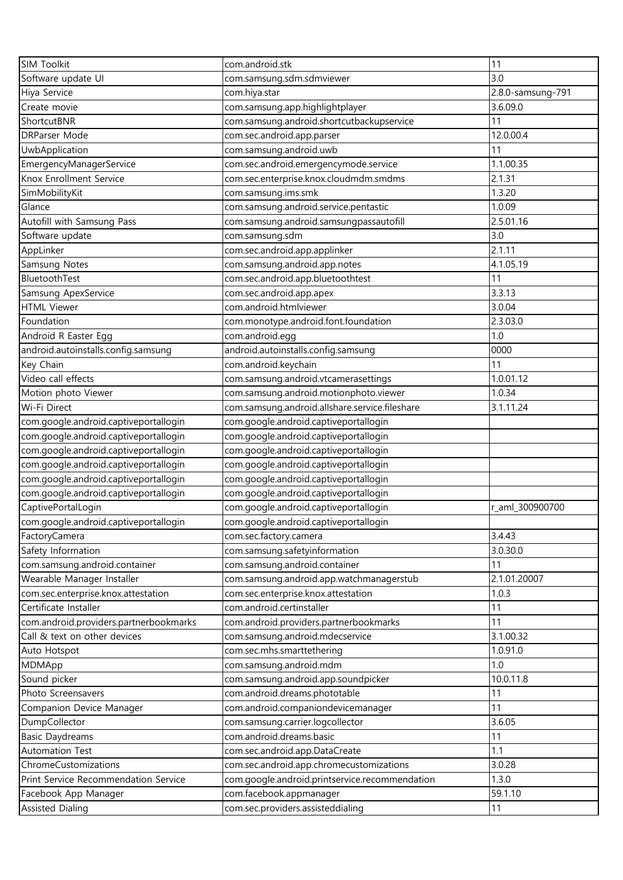| <b>SIM Toolkit</b>                     | com.android.stk                                | 11                |
|----------------------------------------|------------------------------------------------|-------------------|
| Software update UI                     | com.samsung.sdm.sdmviewer                      | 3.0               |
| Hiya Service                           | com.hiya.star                                  | 2.8.0-samsung-791 |
| Create movie                           | com.samsung.app.highlightplayer                | 3.6.09.0          |
| ShortcutBNR                            | com.samsung.android.shortcutbackupservice      | 11                |
| <b>DRParser Mode</b>                   | com.sec.android.app.parser                     | 12.0.00.4         |
| UwbApplication                         | com.samsung.android.uwb                        | 11                |
| EmergencyManagerService                | com.sec.android.emergencymode.service          | 1.1.00.35         |
| Knox Enrollment Service                | com.sec.enterprise.knox.cloudmdm.smdms         | 2.1.31            |
| SimMobilityKit                         | com.samsung.ims.smk                            | 1.3.20            |
| Glance                                 | com.samsung.android.service.pentastic          | 1.0.09            |
| Autofill with Samsung Pass             | com.samsung.android.samsungpassautofill        | 2.5.01.16         |
| Software update                        | com.samsung.sdm                                | 3.0               |
| AppLinker                              | com.sec.android.app.applinker                  | 2.1.11            |
| Samsung Notes                          | com.samsung.android.app.notes                  | 4.1.05.19         |
| BluetoothTest                          | com.sec.android.app.bluetoothtest              | 11                |
| Samsung ApexService                    | com.sec.android.app.apex                       | 3.3.13            |
| <b>HTML Viewer</b>                     | com.android.htmlviewer                         | 3.0.04            |
| Foundation                             | com.monotype.android.font.foundation           | 2.3.03.0          |
| Android R Easter Egg                   | com.android.egg                                | 1.0               |
| android.autoinstalls.config.samsung    | android.autoinstalls.config.samsung            | 0000              |
| Key Chain                              | com.android.keychain                           | 11                |
| Video call effects                     | com.samsung.android.vtcamerasettings           | 1.0.01.12         |
| Motion photo Viewer                    | com.samsung.android.motionphoto.viewer         | 1.0.34            |
| Wi-Fi Direct                           | com.samsung.android.allshare.service.fileshare | 3.1.11.24         |
| com.google.android.captiveportallogin  | com.google.android.captiveportallogin          |                   |
| com.google.android.captiveportallogin  | com.google.android.captiveportallogin          |                   |
| com.google.android.captiveportallogin  | com.google.android.captiveportallogin          |                   |
| com.google.android.captiveportallogin  | com.google.android.captiveportallogin          |                   |
| com.google.android.captiveportallogin  | com.google.android.captiveportallogin          |                   |
| com.google.android.captiveportallogin  | com.google.android.captiveportallogin          |                   |
| CaptivePortalLogin                     | com.google.android.captiveportallogin          | r_aml_300900700   |
| com.google.android.captiveportallogin  | com.google.android.captiveportallogin          |                   |
| FactoryCamera                          | com.sec.factory.camera                         | 3.4.43            |
| Safety Information                     | com.samsung.safetyinformation                  | 3.0.30.0          |
| com.samsung.android.container          | com.samsung.android.container                  | 11                |
| Wearable Manager Installer             | com.samsung.android.app.watchmanagerstub       | 2.1.01.20007      |
| com.sec.enterprise.knox.attestation    | com.sec.enterprise.knox.attestation            | 1.0.3             |
| Certificate Installer                  | com.android.certinstaller                      | 11                |
| com.android.providers.partnerbookmarks | com.android.providers.partnerbookmarks         | 11                |
| Call & text on other devices           | com.samsung.android.mdecservice                | 3.1.00.32         |
| Auto Hotspot                           | com.sec.mhs.smarttethering                     | 1.0.91.0          |
| MDMApp                                 | com.samsung.android.mdm                        | 1.0               |
| Sound picker                           | com.samsung.android.app.soundpicker            | 10.0.11.8         |
| Photo Screensavers                     | com.android.dreams.phototable                  | 11                |
| Companion Device Manager               | com.android.companiondevicemanager             | 11                |
| DumpCollector                          | com.samsung.carrier.logcollector               | 3.6.05            |
| <b>Basic Daydreams</b>                 | com.android.dreams.basic                       | 11                |
| Automation Test                        | com.sec.android.app.DataCreate                 | 1.1               |
| ChromeCustomizations                   | com.sec.android.app.chromecustomizations       | 3.0.28            |
| Print Service Recommendation Service   | com.google.android.printservice.recommendation | 1.3.0             |
| Facebook App Manager                   | com.facebook.appmanager                        | 59.1.10           |
| <b>Assisted Dialing</b>                | com.sec.providers.assisteddialing              | 11                |
|                                        |                                                |                   |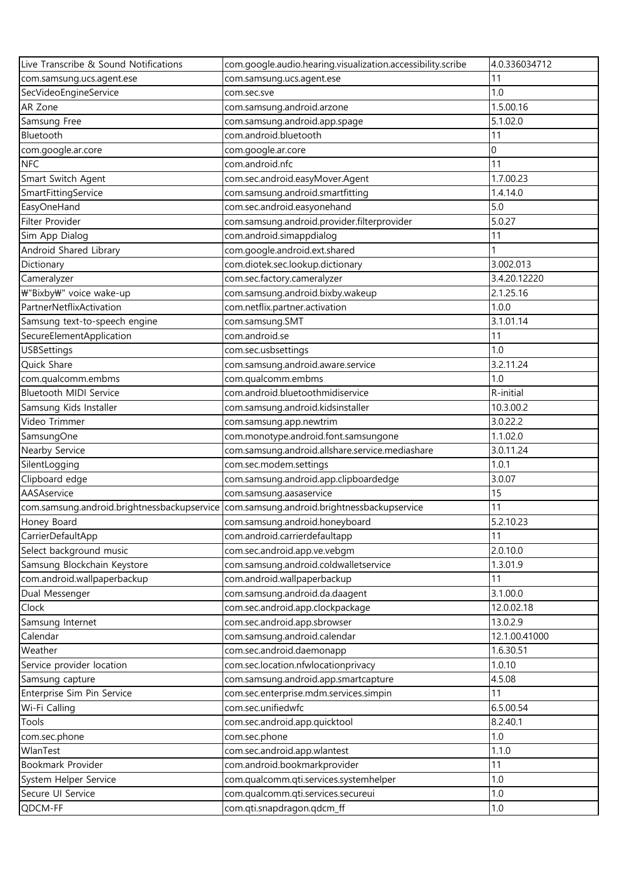| Live Transcribe & Sound Notifications       | com.google.audio.hearing.visualization.accessibility.scribe | 4.0.336034712 |
|---------------------------------------------|-------------------------------------------------------------|---------------|
| com.samsung.ucs.agent.ese                   | com.samsung.ucs.agent.ese                                   | 11            |
| SecVideoEngineService                       | com.sec.sve                                                 | 1.0           |
| AR Zone                                     | com.samsung.android.arzone                                  | 1.5.00.16     |
| Samsung Free                                | com.samsung.android.app.spage                               | 5.1.02.0      |
| Bluetooth                                   | com.android.bluetooth                                       | 11            |
| com.google.ar.core                          | com.google.ar.core                                          | 0             |
| <b>NFC</b>                                  | com.android.nfc                                             | 11            |
| Smart Switch Agent                          | com.sec.android.easyMover.Agent                             | 1.7.00.23     |
| SmartFittingService                         | com.samsung.android.smartfitting                            | 1.4.14.0      |
| EasyOneHand                                 | com.sec.android.easyonehand                                 | 5.0           |
| Filter Provider                             | com.samsung.android.provider.filterprovider                 | 5.0.27        |
| Sim App Dialog                              | com.android.simappdialog                                    | 11            |
| Android Shared Library                      | com.google.android.ext.shared                               |               |
| Dictionary                                  | com.diotek.sec.lookup.dictionary                            | 3.002.013     |
| Cameralyzer                                 | com.sec.factory.cameralyzer                                 | 3.4.20.12220  |
| ₩"Bixby₩" voice wake-up                     | com.samsung.android.bixby.wakeup                            | 2.1.25.16     |
| PartnerNetflixActivation                    | com.netflix.partner.activation                              | 1.0.0         |
| Samsung text-to-speech engine               | com.samsung.SMT                                             | 3.1.01.14     |
| SecureElementApplication                    | com.android.se                                              | 11            |
| <b>USBSettings</b>                          | com.sec.usbsettings                                         | 1.0           |
| Quick Share                                 | com.samsung.android.aware.service                           | 3.2.11.24     |
| com.qualcomm.embms                          | com.qualcomm.embms                                          | 1.0           |
| Bluetooth MIDI Service                      | com.android.bluetoothmidiservice                            | R-initial     |
| Samsung Kids Installer                      | com.samsung.android.kidsinstaller                           | 10.3.00.2     |
| Video Trimmer                               | com.samsung.app.newtrim                                     | 3.0.22.2      |
| SamsungOne                                  | com.monotype.android.font.samsungone                        | 1.1.02.0      |
| Nearby Service                              | com.samsung.android.allshare.service.mediashare             | 3.0.11.24     |
| SilentLogging                               | com.sec.modem.settings                                      | 1.0.1         |
| Clipboard edge                              | com.samsung.android.app.clipboardedge                       | 3.0.07        |
| AASAservice                                 | com.samsung.aasaservice                                     | 15            |
| com.samsung.android.brightnessbackupservice | com.samsung.android.brightnessbackupservice                 | 11            |
| Honey Board                                 | com.samsung.android.honeyboard                              | 5.2.10.23     |
| CarrierDefaultApp                           | com.android.carrierdefaultapp                               | 11            |
| Select background music                     | com.sec.android.app.ve.vebgm                                | 2.0.10.0      |
| Samsung Blockchain Keystore                 | com.samsung.android.coldwalletservice                       | 1.3.01.9      |
| com.android.wallpaperbackup                 | com.android.wallpaperbackup                                 | 11            |
| Dual Messenger                              | com.samsung.android.da.daagent                              | 3.1.00.0      |
| Clock                                       | com.sec.android.app.clockpackage                            | 12.0.02.18    |
| Samsung Internet                            | com.sec.android.app.sbrowser                                | 13.0.2.9      |
| Calendar                                    | com.samsung.android.calendar                                | 12.1.00.41000 |
| Weather                                     | com.sec.android.daemonapp                                   | 1.6.30.51     |
| Service provider location                   | com.sec.location.nfwlocationprivacy                         | 1.0.10        |
| Samsung capture                             | com.samsung.android.app.smartcapture                        | 4.5.08        |
| Enterprise Sim Pin Service                  | com.sec.enterprise.mdm.services.simpin                      | 11            |
| Wi-Fi Calling                               | com.sec.unifiedwfc                                          | 6.5.00.54     |
| Tools                                       | com.sec.android.app.quicktool                               | 8.2.40.1      |
| com.sec.phone                               | com.sec.phone                                               | 1.0           |
| WlanTest                                    | com.sec.android.app.wlantest                                | 1.1.0         |
| Bookmark Provider                           | com.android.bookmarkprovider                                | 11            |
| System Helper Service                       | com.qualcomm.qti.services.systemhelper                      | 1.0           |
| Secure UI Service                           | com.qualcomm.qti.services.secureui                          | 1.0           |
| QDCM-FF                                     | com.qti.snapdragon.qdcm_ff                                  | 1.0           |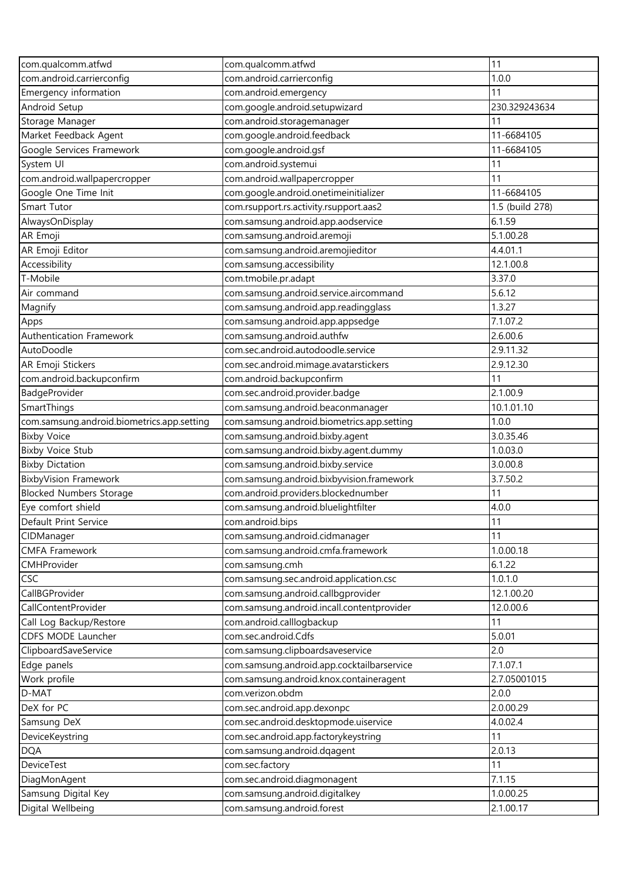| com.qualcomm.atfwd                         | com.qualcomm.atfwd                         | 11              |
|--------------------------------------------|--------------------------------------------|-----------------|
| com.android.carrierconfig                  | com.android.carrierconfig                  | 1.0.0           |
| Emergency information                      | com.android.emergency                      | 11              |
| Android Setup                              | com.google.android.setupwizard             | 230.329243634   |
| Storage Manager                            | com.android.storagemanager                 | 11              |
| Market Feedback Agent                      | com.google.android.feedback                | 11-6684105      |
| Google Services Framework                  | com.google.android.gsf                     | 11-6684105      |
| System UI                                  | com.android.systemui                       | 11              |
| com.android.wallpapercropper               | com.android.wallpapercropper               | 11              |
| Google One Time Init                       | com.google.android.onetimeinitializer      | 11-6684105      |
| Smart Tutor                                | com.rsupport.rs.activity.rsupport.aas2     | 1.5 (build 278) |
| AlwaysOnDisplay                            | com.samsung.android.app.aodservice         | 6.1.59          |
| AR Emoji                                   | com.samsung.android.aremoji                | 5.1.00.28       |
| AR Emoji Editor                            | com.samsung.android.aremojieditor          | 4.4.01.1        |
| Accessibility                              | com.samsung.accessibility                  | 12.1.00.8       |
| T-Mobile                                   | com.tmobile.pr.adapt                       | 3.37.0          |
| Air command                                | com.samsung.android.service.aircommand     | 5.6.12          |
| Magnify                                    | com.samsung.android.app.readingglass       | 1.3.27          |
| Apps                                       | com.samsung.android.app.appsedge           | 7.1.07.2        |
| Authentication Framework                   | com.samsung.android.authfw                 | 2.6.00.6        |
| AutoDoodle                                 | com.sec.android.autodoodle.service         | 2.9.11.32       |
| AR Emoji Stickers                          | com.sec.android.mimage.avatarstickers      | 2.9.12.30       |
| com.android.backupconfirm                  | com.android.backupconfirm                  | 11              |
| BadgeProvider                              | com.sec.android.provider.badge             | 2.1.00.9        |
| SmartThings                                | com.samsung.android.beaconmanager          | 10.1.01.10      |
| com.samsung.android.biometrics.app.setting | com.samsung.android.biometrics.app.setting | 1.0.0           |
| <b>Bixby Voice</b>                         | com.samsung.android.bixby.agent            | 3.0.35.46       |
| <b>Bixby Voice Stub</b>                    | com.samsung.android.bixby.agent.dummy      | 1.0.03.0        |
| <b>Bixby Dictation</b>                     | com.samsung.android.bixby.service          | 3.0.00.8        |
| <b>BixbyVision Framework</b>               | com.samsung.android.bixbyvision.framework  | 3.7.50.2        |
| <b>Blocked Numbers Storage</b>             | com.android.providers.blockednumber        | 11              |
| Eye comfort shield                         | com.samsung.android.bluelightfilter        | 4.0.0           |
| Default Print Service                      | com.android.bips                           | 11              |
| CIDManager                                 | com.samsung.android.cidmanager             | 11              |
| <b>CMFA Framework</b>                      | com.samsung.android.cmfa.framework         | 1.0.00.18       |
| CMHProvider                                | com.samsung.cmh                            | 6.1.22          |
| CSC                                        | com.samsung.sec.android.application.csc    | 1.0.1.0         |
| CallBGProvider                             | com.samsung.android.callbgprovider         | 12.1.00.20      |
| CallContentProvider                        | com.samsung.android.incall.contentprovider | 12.0.00.6       |
| Call Log Backup/Restore                    | com.android.calllogbackup                  | 11              |
| CDFS MODE Launcher                         | com.sec.android.Cdfs                       | 5.0.01          |
| ClipboardSaveService                       | com.samsung.clipboardsaveservice           | 2.0             |
| Edge panels                                | com.samsung.android.app.cocktailbarservice | 7.1.07.1        |
| Work profile                               | com.samsung.android.knox.containeragent    | 2.7.05001015    |
| D-MAT                                      | com.verizon.obdm                           | 2.0.0           |
| DeX for PC                                 | com.sec.android.app.dexonpc                | 2.0.00.29       |
| Samsung DeX                                | com.sec.android.desktopmode.uiservice      | 4.0.02.4        |
| DeviceKeystring                            | com.sec.android.app.factorykeystring       | 11              |
| <b>DQA</b>                                 | com.samsung.android.dqagent                | 2.0.13          |
| DeviceTest                                 | com.sec.factory                            | 11              |
| DiagMonAgent                               | com.sec.android.diagmonagent               | 7.1.15          |
| Samsung Digital Key                        | com.samsung.android.digitalkey             | 1.0.00.25       |
| Digital Wellbeing                          | com.samsung.android.forest                 | 2.1.00.17       |
|                                            |                                            |                 |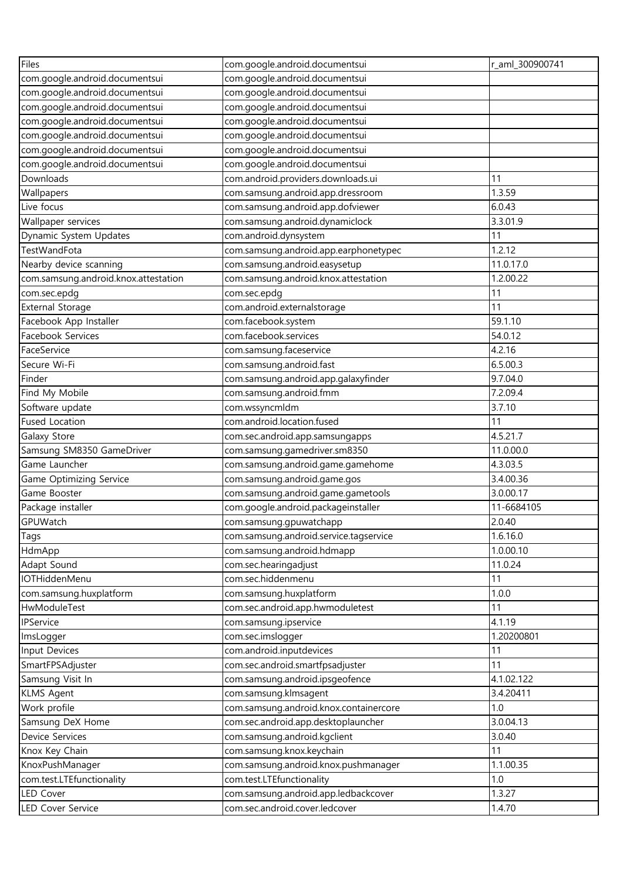| Files                                | com.google.android.documentsui         | r_aml_300900741 |
|--------------------------------------|----------------------------------------|-----------------|
| com.google.android.documentsui       | com.google.android.documentsui         |                 |
| com.google.android.documentsui       | com.google.android.documentsui         |                 |
| com.google.android.documentsui       | com.google.android.documentsui         |                 |
| com.google.android.documentsui       | com.google.android.documentsui         |                 |
| com.google.android.documentsui       | com.google.android.documentsui         |                 |
| com.google.android.documentsui       | com.google.android.documentsui         |                 |
| com.google.android.documentsui       | com.google.android.documentsui         |                 |
| Downloads                            | com.android.providers.downloads.ui     | 11              |
| Wallpapers                           | com.samsung.android.app.dressroom      | 1.3.59          |
| Live focus                           | com.samsung.android.app.dofviewer      | 6.0.43          |
| Wallpaper services                   | com.samsung.android.dynamiclock        | 3.3.01.9        |
| Dynamic System Updates               | com.android.dynsystem                  | 11              |
| TestWandFota                         | com.samsung.android.app.earphonetypec  | 1.2.12          |
| Nearby device scanning               | com.samsung.android.easysetup          | 11.0.17.0       |
| com.samsung.android.knox.attestation | com.samsung.android.knox.attestation   | 1.2.00.22       |
| com.sec.epdg                         | com.sec.epdg                           | 11              |
| <b>External Storage</b>              | com.android.externalstorage            | 11              |
| Facebook App Installer               | com.facebook.system                    | 59.1.10         |
| Facebook Services                    | com.facebook.services                  | 54.0.12         |
| FaceService                          | com.samsung.faceservice                | 4.2.16          |
| Secure Wi-Fi                         | com.samsung.android.fast               | 6.5.00.3        |
| Finder                               | com.samsung.android.app.galaxyfinder   | 9.7.04.0        |
| Find My Mobile                       | com.samsung.android.fmm                | 7.2.09.4        |
| Software update                      | com.wssyncmldm                         | 3.7.10          |
| <b>Fused Location</b>                | com.android.location.fused             | 11              |
| Galaxy Store                         | com.sec.android.app.samsungapps        | 4.5.21.7        |
| Samsung SM8350 GameDriver            | com.samsung.gamedriver.sm8350          | 11.0.00.0       |
| Game Launcher                        | com.samsung.android.game.gamehome      | 4.3.03.5        |
| Game Optimizing Service              | com.samsung.android.game.gos           | 3.4.00.36       |
| Game Booster                         | com.samsung.android.game.gametools     | 3.0.00.17       |
| Package installer                    | com.google.android.packageinstaller    | 11-6684105      |
| GPUWatch                             | com.samsung.gpuwatchapp                | 2.0.40          |
| Tags                                 | com.samsung.android.service.tagservice | 1.6.16.0        |
| HdmApp                               | com.samsung.android.hdmapp             | 1.0.00.10       |
| Adapt Sound                          | com.sec.hearingadjust                  | 11.0.24         |
| IOTHiddenMenu                        | com.sec.hiddenmenu                     | 11              |
| com.samsung.huxplatform              | com.samsung.huxplatform                | 1.0.0           |
| HwModuleTest                         | com.sec.android.app.hwmoduletest       | 11              |
| <b>IPService</b>                     | com.samsung.ipservice                  | 4.1.19          |
| ImsLogger                            | com.sec.imslogger                      | 1.20200801      |
| Input Devices                        | com.android.inputdevices               | 11              |
| SmartFPSAdjuster                     | com.sec.android.smartfpsadjuster       | 11              |
| Samsung Visit In                     | com.samsung.android.ipsgeofence        | 4.1.02.122      |
| <b>KLMS Agent</b>                    | com.samsung.klmsagent                  | 3.4.20411       |
|                                      | com.samsung.android.knox.containercore | 1.0             |
| Work profile                         |                                        | 3.0.04.13       |
| Samsung DeX Home                     | com.sec.android.app.desktoplauncher    |                 |
| Device Services                      | com.samsung.android.kgclient           | 3.0.40          |
| Knox Key Chain                       | com.samsung.knox.keychain              | 11              |
| KnoxPushManager                      | com.samsung.android.knox.pushmanager   | 1.1.00.35       |
| com.test.LTEfunctionality            | com.test.LTEfunctionality              | 1.0             |
| <b>LED Cover</b>                     | com.samsung.android.app.ledbackcover   | 1.3.27          |
| LED Cover Service                    | com.sec.android.cover.ledcover         | 1.4.70          |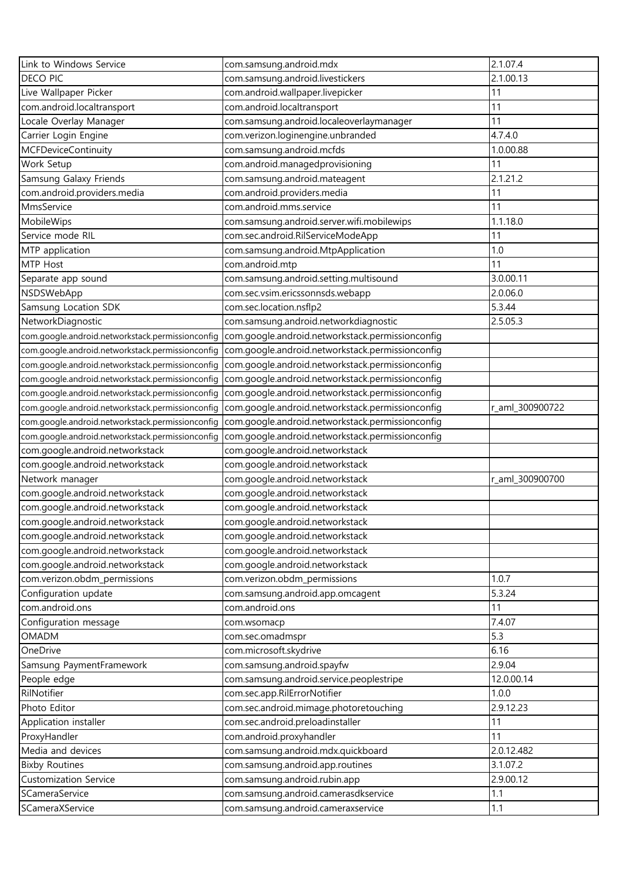| Link to Windows Service                          | com.samsung.android.mdx                                                    | 2.1.07.4        |
|--------------------------------------------------|----------------------------------------------------------------------------|-----------------|
| DECO PIC                                         | com.samsung.android.livestickers                                           | 2.1.00.13       |
| Live Wallpaper Picker                            | com.android.wallpaper.livepicker                                           | 11              |
| com.android.localtransport                       | com.android.localtransport                                                 | 11              |
| Locale Overlay Manager                           | com.samsung.android.localeoverlaymanager                                   | 11              |
| Carrier Login Engine                             | com.verizon.loginengine.unbranded                                          | 4.7.4.0         |
| <b>MCFDeviceContinuity</b>                       | com.samsung.android.mcfds                                                  | 1.0.00.88       |
| Work Setup                                       | com.android.managedprovisioning                                            | 11              |
| Samsung Galaxy Friends                           | com.samsung.android.mateagent                                              | 2.1.21.2        |
| com.android.providers.media                      | com.android.providers.media                                                | 11              |
| MmsService                                       | com.android.mms.service                                                    | 11              |
| MobileWips                                       | com.samsung.android.server.wifi.mobilewips                                 | 1.1.18.0        |
| Service mode RIL                                 | com.sec.android.RilServiceModeApp                                          | 11              |
| MTP application                                  | com.samsung.android.MtpApplication                                         | 1.0             |
| MTP Host                                         | com.android.mtp                                                            | 11              |
| Separate app sound                               | com.samsung.android.setting.multisound                                     | 3.0.00.11       |
| NSDSWebApp                                       | com.sec.vsim.ericssonnsds.webapp                                           | 2.0.06.0        |
| Samsung Location SDK                             | com.sec.location.nsflp2                                                    | 5.3.44          |
| NetworkDiagnostic                                | com.samsung.android.networkdiagnostic                                      | 2.5.05.3        |
| com.google.android.networkstack.permissionconfig | com.google.android.networkstack.permissionconfig                           |                 |
| com.google.android.networkstack.permissionconfig | com.google.android.networkstack.permissionconfig                           |                 |
| com.google.android.networkstack.permissionconfig | com.google.android.networkstack.permissionconfig                           |                 |
| com.google.android.networkstack.permissionconfig | com.google.android.networkstack.permissionconfig                           |                 |
| com.google.android.networkstack.permissionconfig | com.google.android.networkstack.permissionconfig                           |                 |
| com.google.android.networkstack.permissionconfig | com.google.android.networkstack.permissionconfig                           | r_aml_300900722 |
| com.google.android.networkstack.permissionconfig | com.google.android.networkstack.permissionconfig                           |                 |
| com.google.android.networkstack.permissionconfig | com.google.android.networkstack.permissionconfig                           |                 |
| com.google.android.networkstack                  | com.google.android.networkstack                                            |                 |
| com.google.android.networkstack                  | com.google.android.networkstack                                            |                 |
| Network manager                                  | com.google.android.networkstack                                            | r_aml_300900700 |
| com.google.android.networkstack                  | com.google.android.networkstack                                            |                 |
| com.google.android.networkstack                  | com.google.android.networkstack                                            |                 |
| com.google.android.networkstack                  | com.google.android.networkstack                                            |                 |
| com.google.android.networkstack                  | com.google.android.networkstack                                            |                 |
| com.google.android.networkstack                  | com.google.android.networkstack                                            |                 |
| com.google.android.networkstack                  | com.google.android.networkstack                                            |                 |
| com.verizon.obdm_permissions                     | com.verizon.obdm_permissions                                               | 1.0.7           |
| Configuration update                             | com.samsung.android.app.omcagent                                           | 5.3.24          |
| com.android.ons                                  | com.android.ons                                                            | 11              |
| Configuration message                            | com.wsomacp                                                                | 7.4.07          |
| OMADM                                            | com.sec.omadmspr                                                           | 5.3             |
| OneDrive                                         | com.microsoft.skydrive                                                     | 6.16            |
| Samsung PaymentFramework                         | com.samsung.android.spayfw                                                 | 2.9.04          |
| People edge                                      | com.samsung.android.service.peoplestripe                                   | 12.0.00.14      |
| RilNotifier                                      | com.sec.app.RilErrorNotifier                                               | 1.0.0           |
| Photo Editor                                     |                                                                            | 2.9.12.23       |
| Application installer                            | com.sec.android.mimage.photoretouching<br>com.sec.android.preloadinstaller | 11              |
| ProxyHandler                                     | com.android.proxyhandler                                                   | 11              |
| Media and devices                                | com.samsung.android.mdx.quickboard                                         | 2.0.12.482      |
| <b>Bixby Routines</b>                            | com.samsung.android.app.routines                                           | 3.1.07.2        |
| <b>Customization Service</b>                     | com.samsung.android.rubin.app                                              | 2.9.00.12       |
| SCameraService                                   | com.samsung.android.camerasdkservice                                       | 1.1             |
| SCameraXService                                  | com.samsung.android.cameraxservice                                         | 1.1             |
|                                                  |                                                                            |                 |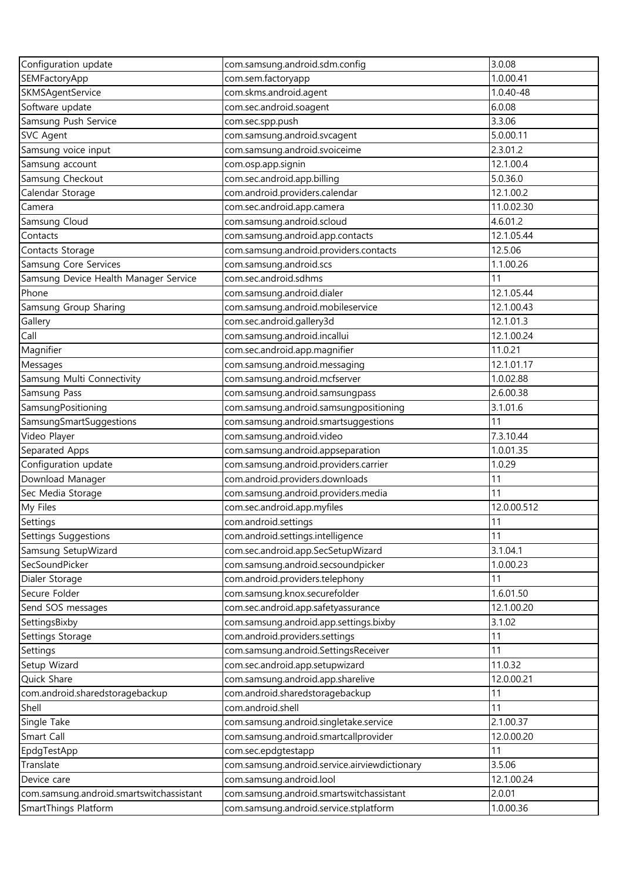| Configuration update                     | com.samsung.android.sdm.config                                       | 3.0.08                  |
|------------------------------------------|----------------------------------------------------------------------|-------------------------|
| SEMFactoryApp                            | com.sem.factoryapp                                                   | 1.0.00.41               |
| SKMSAgentService                         | com.skms.android.agent                                               | 1.0.40-48               |
| Software update                          | com.sec.android.soagent                                              | 6.0.08                  |
| Samsung Push Service                     | com.sec.spp.push                                                     | 3.3.06                  |
| <b>SVC Agent</b>                         | com.samsung.android.svcagent                                         | 5.0.00.11               |
| Samsung voice input                      | com.samsung.android.svoiceime                                        | 2.3.01.2                |
| Samsung account                          | com.osp.app.signin                                                   | 12.1.00.4               |
| Samsung Checkout                         | com.sec.android.app.billing                                          | 5.0.36.0                |
| Calendar Storage                         | com.android.providers.calendar                                       | 12.1.00.2               |
| Camera                                   | com.sec.android.app.camera                                           | 11.0.02.30              |
| Samsung Cloud                            | com.samsung.android.scloud                                           | 4.6.01.2                |
| Contacts                                 | com.samsung.android.app.contacts                                     | 12.1.05.44              |
| Contacts Storage                         | com.samsung.android.providers.contacts                               | 12.5.06                 |
| Samsung Core Services                    | com.samsung.android.scs                                              | 1.1.00.26               |
| Samsung Device Health Manager Service    | com.sec.android.sdhms                                                | 11                      |
| Phone                                    | com.samsung.android.dialer                                           | 12.1.05.44              |
| Samsung Group Sharing                    | com.samsung.android.mobileservice                                    | 12.1.00.43              |
| Gallery                                  | com.sec.android.gallery3d                                            | 12.1.01.3               |
| Call                                     | com.samsung.android.incallui                                         | 12.1.00.24              |
| Magnifier                                | com.sec.android.app.magnifier                                        | 11.0.21                 |
| Messages                                 | com.samsung.android.messaging                                        | 12.1.01.17              |
| Samsung Multi Connectivity               | com.samsung.android.mcfserver                                        | 1.0.02.88               |
| Samsung Pass                             | com.samsung.android.samsungpass                                      | 2.6.00.38               |
| SamsungPositioning                       | com.samsung.android.samsungpositioning                               | 3.1.01.6                |
| SamsungSmartSuggestions                  | com.samsung.android.smartsuggestions                                 | 11                      |
| Video Player                             | com.samsung.android.video                                            | 7.3.10.44               |
| Separated Apps                           | com.samsung.android.appseparation                                    | 1.0.01.35               |
| Configuration update                     | com.samsung.android.providers.carrier                                | 1.0.29                  |
| Download Manager                         | com.android.providers.downloads                                      | 11                      |
| Sec Media Storage                        | com.samsung.android.providers.media                                  | 11                      |
| My Files                                 | com.sec.android.app.myfiles                                          | 12.0.00.512             |
| Settings                                 | com.android.settings                                                 | 11                      |
| <b>Settings Suggestions</b>              | com.android.settings.intelligence                                    | 11                      |
| Samsung SetupWizard                      | com.sec.android.app.SecSetupWizard                                   | 3.1.04.1                |
| SecSoundPicker                           | com.samsung.android.secsoundpicker                                   | 1.0.00.23               |
|                                          | com.android.providers.telephony                                      | 11                      |
| Dialer Storage                           |                                                                      |                         |
| Secure Folder                            | com.samsung.knox.securefolder<br>com.sec.android.app.safetyassurance | 1.6.01.50<br>12.1.00.20 |
| Send SOS messages                        |                                                                      | 3.1.02                  |
| SettingsBixby                            | com.samsung.android.app.settings.bixby                               |                         |
| Settings Storage                         | com.android.providers.settings                                       | 11<br>11                |
| Settings                                 | com.samsung.android.SettingsReceiver                                 |                         |
| Setup Wizard                             | com.sec.android.app.setupwizard                                      | 11.0.32                 |
| Quick Share                              | com.samsung.android.app.sharelive                                    | 12.0.00.21              |
| com.android.sharedstoragebackup          | com.android.sharedstoragebackup                                      | 11                      |
| Shell                                    | com.android.shell                                                    | 11                      |
| Single Take                              | com.samsung.android.singletake.service                               | 2.1.00.37               |
| Smart Call                               | com.samsung.android.smartcallprovider                                | 12.0.00.20              |
| EpdgTestApp                              | com.sec.epdgtestapp                                                  | 11                      |
| Translate                                | com.samsung.android.service.airviewdictionary                        | 3.5.06                  |
| Device care                              | com.samsung.android.lool                                             | 12.1.00.24              |
| com.samsung.android.smartswitchassistant | com.samsung.android.smartswitchassistant                             | 2.0.01                  |
| SmartThings Platform                     | com.samsung.android.service.stplatform                               | 1.0.00.36               |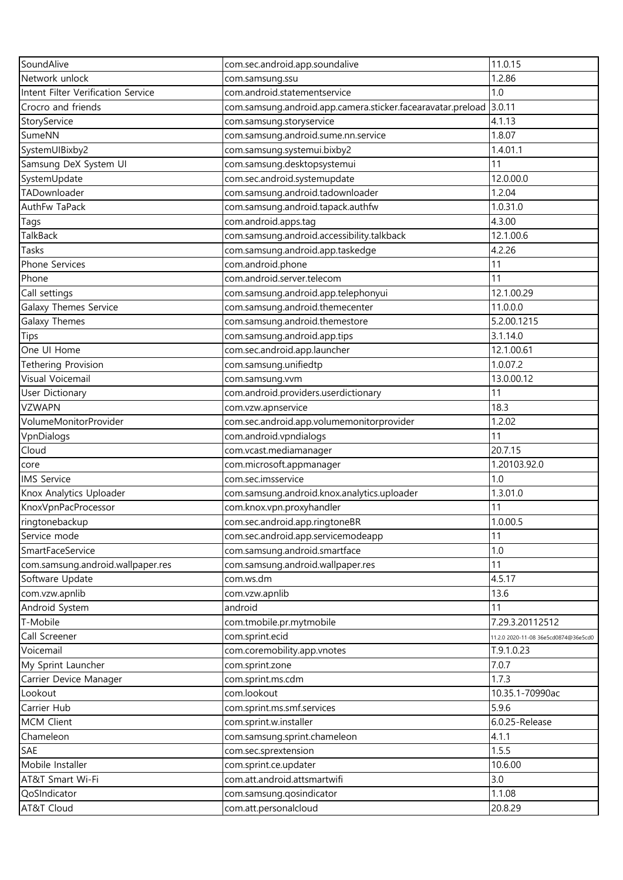| SoundAlive                         | com.sec.android.app.soundalive                              | 11.0.15                              |
|------------------------------------|-------------------------------------------------------------|--------------------------------------|
| Network unlock                     | com.samsung.ssu                                             | 1.2.86                               |
| Intent Filter Verification Service | com.android.statementservice                                | 1.0                                  |
| Crocro and friends                 | com.samsung.android.app.camera.sticker.facearavatar.preload | 3.0.11                               |
| StoryService                       | com.samsung.storyservice                                    | 4.1.13                               |
| SumeNN                             | com.samsung.android.sume.nn.service                         | 1.8.07                               |
| SystemUIBixby2                     | com.samsung.systemui.bixby2                                 | 1.4.01.1                             |
| Samsung DeX System UI              | com.samsung.desktopsystemui                                 | 11                                   |
| SystemUpdate                       | com.sec.android.systemupdate                                | 12.0.00.0                            |
| TADownloader                       | com.samsung.android.tadownloader                            | 1.2.04                               |
| AuthFw TaPack                      | com.samsung.android.tapack.authfw                           | 1.0.31.0                             |
| Tags                               | com.android.apps.tag                                        | 4.3.00                               |
| <b>TalkBack</b>                    | com.samsung.android.accessibility.talkback                  | 12.1.00.6                            |
| Tasks                              | com.samsung.android.app.taskedge                            | 4.2.26                               |
| Phone Services                     | com.android.phone                                           | 11                                   |
| Phone                              | com.android.server.telecom                                  | 11                                   |
| Call settings                      | com.samsung.android.app.telephonyui                         | 12.1.00.29                           |
| Galaxy Themes Service              | com.samsung.android.themecenter                             | 11.0.0.0                             |
| Galaxy Themes                      | com.samsung.android.themestore                              | 5.2.00.1215                          |
| Tips                               | com.samsung.android.app.tips                                | 3.1.14.0                             |
| One UI Home                        | com.sec.android.app.launcher                                | 12.1.00.61                           |
| Tethering Provision                | com.samsung.unifiedtp                                       | 1.0.07.2                             |
| Visual Voicemail                   | com.samsung.vvm                                             | 13.0.00.12                           |
| User Dictionary                    | com.android.providers.userdictionary                        | 11                                   |
| <b>VZWAPN</b>                      | com.vzw.apnservice                                          | 18.3                                 |
| VolumeMonitorProvider              | com.sec.android.app.volumemonitorprovider                   | 1.2.02                               |
|                                    | com.android.vpndialogs                                      | 11                                   |
| VpnDialogs<br>Cloud                |                                                             | 20.7.15                              |
|                                    | com.vcast.mediamanager<br>com.microsoft.appmanager          | 1.20103.92.0                         |
| core<br><b>IMS Service</b>         | com.sec.imsservice                                          | 1.0                                  |
| Knox Analytics Uploader            | com.samsung.android.knox.analytics.uploader                 | 1.3.01.0                             |
|                                    | com.knox.vpn.proxyhandler                                   |                                      |
| KnoxVpnPacProcessor                |                                                             | 11<br>1.0.00.5                       |
| ringtonebackup                     | com.sec.android.app.ringtoneBR                              | 11                                   |
| Service mode                       | com.sec.android.app.servicemodeapp                          |                                      |
| SmartFaceService                   | com.samsung.android.smartface                               | 1.0                                  |
| com.samsung.android.wallpaper.res  | com.samsung.android.wallpaper.res                           | 11                                   |
| Software Update                    | com.ws.dm                                                   | 4.5.17                               |
| com.vzw.apnlib                     | com.vzw.apnlib                                              | 13.6                                 |
| Android System                     | android                                                     | 11                                   |
| T-Mobile                           | com.tmobile.pr.mytmobile                                    | 7.29.3.20112512                      |
| Call Screener                      | com.sprint.ecid                                             | 11.2.0 2020-11-08 36e5cd0874@36e5cd0 |
| Voicemail                          | com.coremobility.app.vnotes                                 | T.9.1.0.23                           |
| My Sprint Launcher                 | com.sprint.zone                                             | 7.0.7                                |
| Carrier Device Manager             | com.sprint.ms.cdm                                           | 1.7.3                                |
| Lookout                            | com.lookout                                                 | 10.35.1-70990ac                      |
| Carrier Hub                        | com.sprint.ms.smf.services                                  | 5.9.6                                |
| <b>MCM Client</b>                  | com.sprint.w.installer                                      | 6.0.25-Release                       |
| Chameleon                          | com.samsung.sprint.chameleon                                | 4.1.1                                |
| SAE                                | com.sec.sprextension                                        | 1.5.5                                |
| Mobile Installer                   | com.sprint.ce.updater                                       | 10.6.00                              |
| AT&T Smart Wi-Fi                   | com.att.android.attsmartwifi                                | 3.0                                  |
| QoSIndicator                       | com.samsung.qosindicator                                    | 1.1.08                               |
| AT&T Cloud                         | com.att.personalcloud                                       | 20.8.29                              |